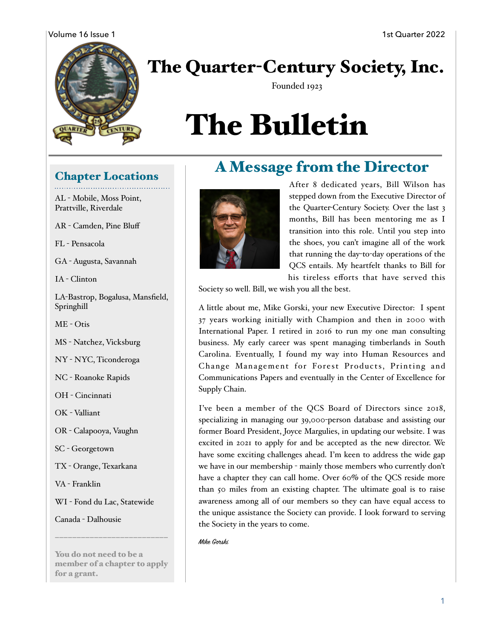#### Volume 16 Issue 1 1st Quarter 2022



## The Quarter-Century Society, Inc.

Founded 1923

# The Bulletin

#### Chapter Locations

AL - Mobile, Moss Point, Prattville, Riverdale

AR - Camden, Pine Bluff

FL - Pensacola

GA - Augusta, Savannah

IA - Clinton

LA-Bastrop, Bogalusa, Mansfield, Springhill

ME - Otis

MS - Natchez, Vicksburg

NY - NYC, Ticonderoga

NC - Roanoke Rapids

OH - Cincinnati

OK - Valliant

OR - Calapooya, Vaughn

SC - Georgetown

TX - Orange, Texarkana

VA - Franklin

WI - Fond du Lac, Statewide

Canada - Dalhousie

You do not need to be a member of a chapter to apply for a grant.

**——————————————————————————** 



After 8 dedicated years, Bill Wilson has stepped down from the Executive Director of the Quarter-Century Society. Over the last 3 months, Bill has been mentoring me as I transition into this role. Until you step into the shoes, you can't imagine all of the work that running the day-to-day operations of the QCS entails. My heartfelt thanks to Bill for his tireless efforts that have served this

Society so well. Bill, we wish you all the best.

A little about me, Mike Gorski, your new Executive Director: I spent 37 years working initially with Champion and then in 2000 with International Paper. I retired in 2016 to run my one man consulting business. My early career was spent managing timberlands in South Carolina. Eventually, I found my way into Human Resources and Change Management for Forest Products, Printing and Communications Papers and eventually in the Center of Excellence for Supply Chain.

A Message from the Director

I've been a member of the QCS Board of Directors since 2018, specializing in managing our 39,000-person database and assisting our former Board President, Joyce Margulies, in updating our website. I was excited in 2021 to apply for and be accepted as the new director. We have some exciting challenges ahead. I'm keen to address the wide gap we have in our membership - mainly those members who currently don't have a chapter they can call home. Over 60% of the QCS reside more than 50 miles from an existing chapter. The ultimate goal is to raise awareness among all of our members so they can have equal access to the unique assistance the Society can provide. I look forward to serving the Society in the years to come.

Mike Gorski